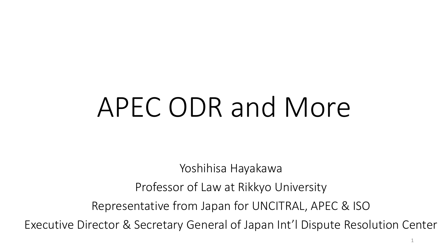# APEC ODR and More

Yoshihisa Hayakawa Professor of Law at Rikkyo University Representative from Japan for UNCITRAL, APEC & ISO Executive Director & Secretary General of Japan Int'l Dispute Resolution Center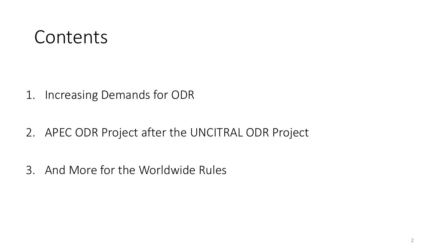### Contents

1. Increasing Demands for ODR

2. APEC ODR Project after the UNCITRAL ODR Project

3. And More for the Worldwide Rules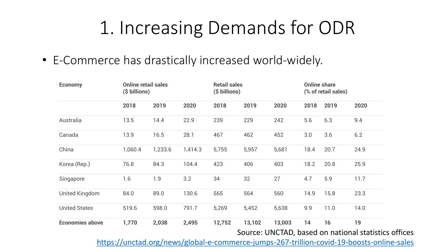• E-Commerce has drastically increased world-widely.

| <b>Economy</b>         | <b>Online retail sales</b><br>(\$ billions) |         |         | <b>Retail sales</b><br>(\$ billions) |        |        |      | <b>Online share</b><br>(% of retail sales) |                                                            |
|------------------------|---------------------------------------------|---------|---------|--------------------------------------|--------|--------|------|--------------------------------------------|------------------------------------------------------------|
|                        | 2018                                        | 2019    | 2020    | 2018                                 | 2019   | 2020   | 2018 | 2019                                       | 2020                                                       |
| Australia              | 13.5                                        | 14.4    | 22.9    | 239                                  | 229    | 242    | 5.6  | 6.3                                        | 9.4                                                        |
| Canada                 | 13.9                                        | 16.5    | 28.1    | 467                                  | 462    | 452    | 3.0  | 3.6                                        | 6.2                                                        |
| China                  | 1,060.4                                     | 1,233.6 | 1,414.3 | 5,755                                | 5,957  | 5,681  | 18.4 | 20.7                                       | 24.9                                                       |
| Korea (Rep.)           | 76.8                                        | 84.3    | 104.4   | 423                                  | 406    | 403    | 18.2 | 20.8                                       | 25.9                                                       |
| Singapore              | 1.6                                         | 1.9     | 3.2     | 34                                   | 32     | 27     | 4.7  | 5.9                                        | 11.7                                                       |
| <b>United Kingdom</b>  | 84.0                                        | 89.0    | 130.6   | 565                                  | 564    | 560    | 14.9 | 15.8                                       | 23.3                                                       |
| <b>United States</b>   | 519.6                                       | 598.0   | 791.7   | 5,269                                | 5,452  | 5,638  | 9.9  | 11.0                                       | 14.0                                                       |
| <b>Economies above</b> | 1,770                                       | 2,038   | 2,495   | 12,752                               | 13,102 | 13,003 | 14   | 16                                         | 19<br>Source: UNCTAD, based on national statistics offices |

3 <https://unctad.org/news/global-e-commerce-jumps-267-trillion-covid-19-boosts-online-sales>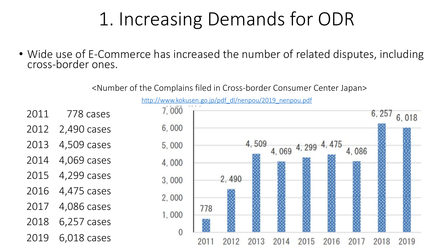• Wide use of E-Commerce has increased the number of related disputes, including cross-border ones.

<Number of the Complains filed in Cross-border Consumer Center Japan>

[http://www.kokusen.go.jp/pdf\\_dl/nenpou/2019\\_nenpou.pdf](http://www.kokusen.go.jp/pdf_dl/nenpou/2019_nenpou.pdf)

- 2011 778 cases
- 2012 2,490 cases
- 2013 4,509 cases
- 2014 4,069 cases
- 2015 4,299 cases
- 2016 4,475 cases
- 2017 4,086 cases
- 2018 6,257 cases
- 2019 6,018 cases

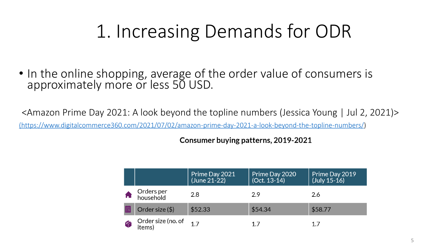• In the online shopping, average of the order value of consumers is approximately more or less 50 USD.

<Amazon Prime Day 2021: A look beyond the topline numbers (Jessica Young | Jul 2, 2021)> [\(https://www.digitalcommerce360.com/2021/07/02/amazon-prime-day-2021-a-look-beyond-the-topline-numbers/\)](https://www.digitalcommerce360.com/2021/07/02/amazon-prime-day-2021-a-look-beyond-the-topline-numbers/)

Consumer buying patterns, 2019-2021

|                              | Prime Day 2021<br>(June 21-22) | Prime Day 2020<br>(Oct. 13-14) | Prime Day 2019<br>$(July 15-16)$ |
|------------------------------|--------------------------------|--------------------------------|----------------------------------|
| Orders per<br>household      | 2.8                            | 2.9                            | 2.6                              |
| Order size $(\$)$            | \$52.33                        | \$54.34                        | \$58.77                          |
| Order size (no. of<br>items) | 17                             | 17                             |                                  |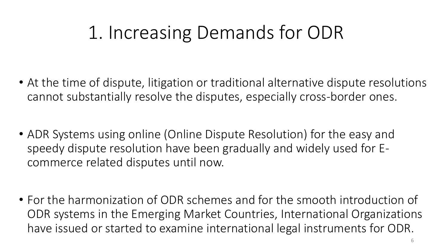- At the time of dispute, litigation or traditional alternative dispute resolutions cannot substantially resolve the disputes, especially cross-border ones.
- ADR Systems using online (Online Dispute Resolution) for the easy and speedy dispute resolution have been gradually and widely used for Ecommerce related disputes until now.
- For the harmonization of ODR schemes and for the smooth introduction of ODR systems in the Emerging Market Countries, International Organizations have issued or started to examine international legal instruments for ODR.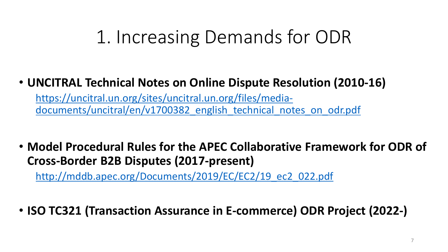#### • **UNCITRAL Technical Notes on Online Dispute Resolution (2010-16)**

https://uncitral.un.org/sites/uncitral.un.org/files/mediadocuments/uncitral/en/v1700382 english technical notes on odr.pdf

• **Model Procedural Rules for the APEC Collaborative Framework for ODR of Cross-Border B2B Disputes (2017-present)**

[http://mddb.apec.org/Documents/2019/EC/EC2/19\\_ec2\\_022.pdf](http://mddb.apec.org/Documents/2019/EC/EC2/19_ec2_022.pdf)

• **ISO TC321 (Transaction Assurance in E-commerce) ODR Project (2022-)**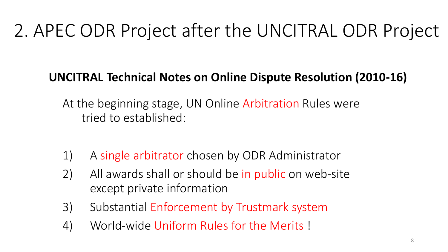### **UNCITRAL Technical Notes on Online Dispute Resolution (2010-16)**

At the beginning stage, UN Online Arbitration Rules were tried to established:

- 1) A single arbitrator chosen by ODR Administrator
- 2) All awards shall or should be in public on web-site except private information
- 3) Substantial Enforcement by Trustmark system
- 4) World-wide Uniform Rules for the Merits !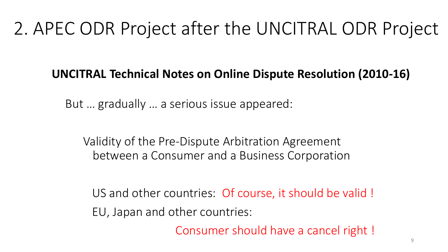#### **UNCITRAL Technical Notes on Online Dispute Resolution (2010-16)**

But … gradually … a serious issue appeared:

Validity of the Pre-Dispute Arbitration Agreement between a Consumer and a Business Corporation

US and other countries: Of course, it should be valid ! EU, Japan and other countries:

Consumer should have a cancel right !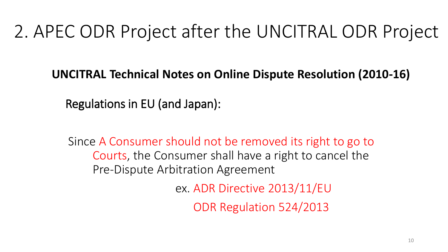**UNCITRAL Technical Notes on Online Dispute Resolution (2010-16)**

Regulations in EU (and Japan):

Since A Consumer should not be removed its right to go to Courts, the Consumer shall have a right to cancel the Pre-Dispute Arbitration Agreement

ex. ADR Directive 2013/11/EU

ODR Regulation 524/2013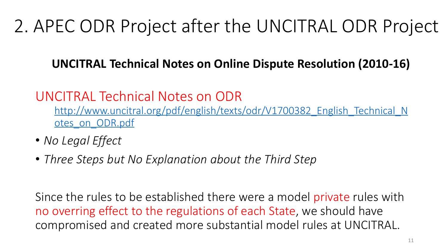### **UNCITRAL Technical Notes on Online Dispute Resolution (2010-16)**

### UNCITRAL Technical Notes on ODR

[http://www.uncitral.org/pdf/english/texts/odr/V1700382\\_English\\_Technical\\_N](http://www.uncitral.org/pdf/english/texts/odr/V1700382_English_Technical_Notes_on_ODR.pdf) otes on ODR.pdf

- *No Legal Effect*
- *Three Steps but No Explanation about the Third Step*

Since the rules to be established there were a model private rules with no overring effect to the regulations of each State, we should have compromised and created more substantial model rules at UNCITRAL.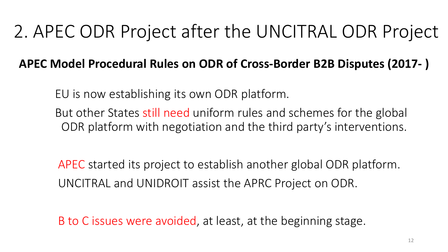#### **APEC Model Procedural Rules on ODR of Cross-Border B2B Disputes (2017- )**

EU is now establishing its own ODR platform.

But other States still need uniform rules and schemes for the global ODR platform with negotiation and the third party's interventions.

APEC started its project to establish another global ODR platform. UNCITRAL and UNIDROIT assist the APRC Project on ODR.

B to C issues were avoided, at least, at the beginning stage.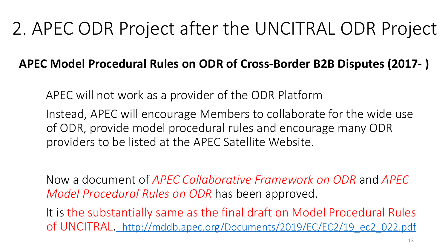### **APEC Model Procedural Rules on ODR of Cross-Border B2B Disputes (2017- )**

APEC will not work as a provider of the ODR Platform

Instead, APEC will encourage Members to collaborate for the wide use of ODR, provide model procedural rules and encourage many ODR providers to be listed at the APEC Satellite Website.

Now a document of *APEC Collaborative Framework on ODR* and *APEC Model Procedural Rules on ODR* has been approved.

It is the substantially same as the final draft on Model Procedural Rules of UNCITRAL. [http://mddb.apec.org/Documents/2019/EC/EC2/19\\_ec2\\_022.pdf](http://mddb.apec.org/Documents/2019/EC/EC2/19_ec2_022.pdf)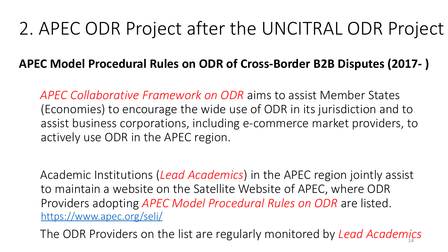#### **APEC Model Procedural Rules on ODR of Cross-Border B2B Disputes (2017- )**

*APEC Collaborative Framework on ODR* aims to assist Member States (Economies) to encourage the wide use of ODR in its jurisdiction and to assist business corporations, including e-commerce market providers, to actively use ODR in the APEC region.

Academic Institutions (*Lead Academics*) in the APEC region jointly assist to maintain a website on the Satellite Website of APEC, where ODR Providers adopting *APEC Model Procedural Rules on ODR* are listed. <https://www.apec.org/seli/>

The ODR Providers on the list are regularly monitored by *Lead Academics*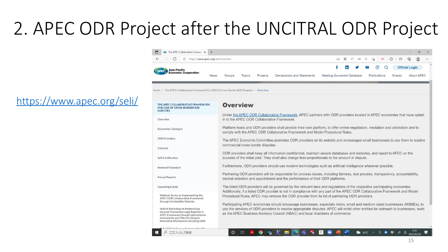<https://www.apec.org/seli/>

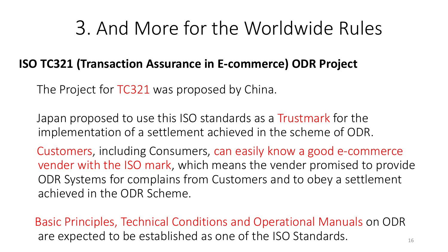### 3. And More for the Worldwide Rules

#### **ISO TC321 (Transaction Assurance in E-commerce) ODR Project**

The Project for TC321 was proposed by China.

Japan proposed to use this ISO standards as a Trustmark for the implementation of a settlement achieved in the scheme of ODR.

Customers, including Consumers, can easily know a good e-commerce vender with the ISO mark, which means the vender promised to provide ODR Systems for complains from Customers and to obey a settlement achieved in the ODR Scheme.

16 Basic Principles, Technical Conditions and Operational Manuals on ODR are expected to be established as one of the ISO Standards.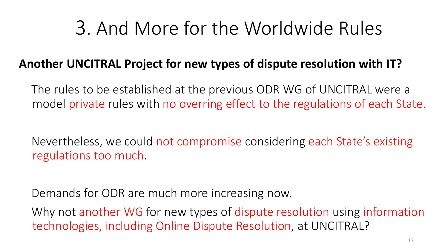## 3. And More for the Worldwide Rules

#### **Another UNCITRAL Project for new types of dispute resolution with IT?**

The rules to be established at the previous ODR WG of UNCITRAL were a model private rules with no overring effect to the regulations of each State.

Nevertheless, we could not compromise considering each State's existing regulations too much.

Demands for ODR are much more increasing now.

Why not another WG for new types of dispute resolution using information technologies, including Online Dispute Resolution, at UNCITRAL?